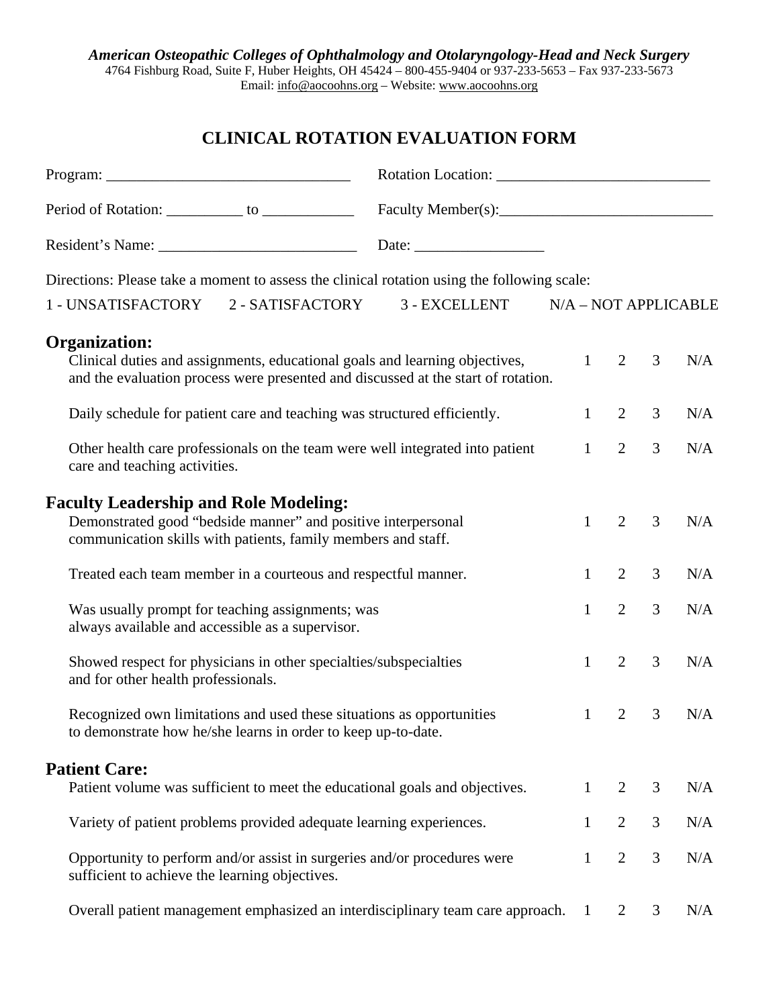## **CLINICAL ROTATION EVALUATION FORM**

|                                                                                                                                                                                          | Date: $\frac{1}{\sqrt{1-\frac{1}{2}}\sqrt{1-\frac{1}{2}}\sqrt{1-\frac{1}{2}}\sqrt{1-\frac{1}{2}}\sqrt{1-\frac{1}{2}}}}$ |              |                |                |     |  |
|------------------------------------------------------------------------------------------------------------------------------------------------------------------------------------------|-------------------------------------------------------------------------------------------------------------------------|--------------|----------------|----------------|-----|--|
| Directions: Please take a moment to assess the clinical rotation using the following scale:                                                                                              |                                                                                                                         |              |                |                |     |  |
| 1 - UNSATISFACTORY 2 - SATISFACTORY 3 - EXCELLENT N/A – NOT APPLICABLE                                                                                                                   |                                                                                                                         |              |                |                |     |  |
| <b>Organization:</b><br>Clinical duties and assignments, educational goals and learning objectives,<br>and the evaluation process were presented and discussed at the start of rotation. |                                                                                                                         | 1            | $\overline{2}$ | 3              | N/A |  |
| Daily schedule for patient care and teaching was structured efficiently.                                                                                                                 |                                                                                                                         | 1            | 2              | 3              | N/A |  |
| Other health care professionals on the team were well integrated into patient<br>care and teaching activities.                                                                           |                                                                                                                         | $\mathbf{1}$ | $\overline{2}$ | 3              | N/A |  |
| <b>Faculty Leadership and Role Modeling:</b><br>Demonstrated good "bedside manner" and positive interpersonal<br>communication skills with patients, family members and staff.           |                                                                                                                         | 1            | 2              | 3              | N/A |  |
| Treated each team member in a courteous and respectful manner.                                                                                                                           |                                                                                                                         | $\mathbf{1}$ | $\overline{2}$ | 3              | N/A |  |
| Was usually prompt for teaching assignments; was<br>always available and accessible as a supervisor.                                                                                     |                                                                                                                         | $\mathbf{1}$ | $\overline{2}$ | $\overline{3}$ | N/A |  |
| Showed respect for physicians in other specialties/subspecialties<br>and for other health professionals.                                                                                 |                                                                                                                         | $\mathbf{1}$ | $\overline{2}$ | 3              | N/A |  |
| Recognized own limitations and used these situations as opportunities<br>to demonstrate how he/she learns in order to keep up-to-date.                                                   |                                                                                                                         | 1            | 2              | 3              | N/A |  |
| <b>Patient Care:</b>                                                                                                                                                                     |                                                                                                                         |              |                |                |     |  |
| Patient volume was sufficient to meet the educational goals and objectives.                                                                                                              |                                                                                                                         | $\mathbf{1}$ | 2              | 3              | N/A |  |
| Variety of patient problems provided adequate learning experiences.                                                                                                                      |                                                                                                                         | $\mathbf{1}$ | $\overline{2}$ | 3              | N/A |  |
| Opportunity to perform and/or assist in surgeries and/or procedures were<br>sufficient to achieve the learning objectives.                                                               |                                                                                                                         | $\mathbf{1}$ | $\overline{2}$ | 3              | N/A |  |
| Overall patient management emphasized an interdisciplinary team care approach.                                                                                                           |                                                                                                                         | 1            | 2              | 3              | N/A |  |